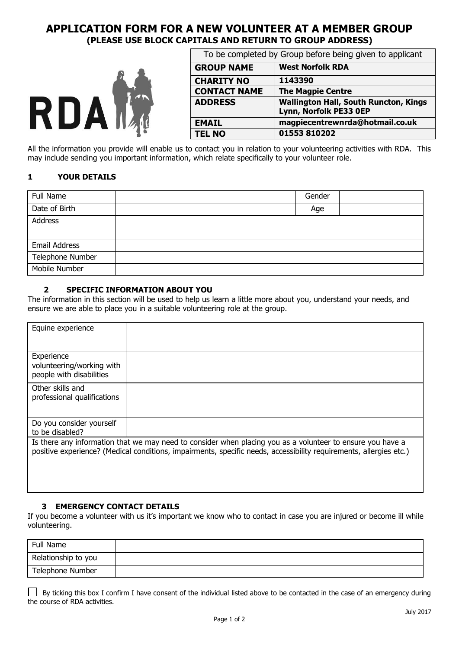# **APPLICATION FORM FOR A NEW VOLUNTEER AT A MEMBER GROUP (PLEASE USE BLOCK CAPITALS AND RETURN TO GROUP ADDRESS)**



| To be completed by Group before being given to applicant |                                                                        |  |  |
|----------------------------------------------------------|------------------------------------------------------------------------|--|--|
| <b>GROUP NAME</b>                                        | <b>West Norfolk RDA</b>                                                |  |  |
| <b>CHARITY NO</b>                                        | 1143390                                                                |  |  |
| <b>CONTACT NAME</b>                                      | <b>The Magpie Centre</b>                                               |  |  |
| <b>ADDRESS</b>                                           | <b>Wallington Hall, South Runcton, Kings</b><br>Lynn, Norfolk PE33 OEP |  |  |
| <b>EMAIL</b>                                             | magpiecentrewnrda@hotmail.co.uk                                        |  |  |
| <b>TEL NO</b>                                            | 01553 810202                                                           |  |  |

All the information you provide will enable us to contact you in relation to your volunteering activities with RDA. This may include sending you important information, which relate specifically to your volunteer role.

## **1 YOUR DETAILS**

| Full Name            | Gender |  |
|----------------------|--------|--|
| Date of Birth        | Age    |  |
| Address              |        |  |
|                      |        |  |
| <b>Email Address</b> |        |  |
| Telephone Number     |        |  |
| Mobile Number        |        |  |

## **2 SPECIFIC INFORMATION ABOUT YOU**

The information in this section will be used to help us learn a little more about you, understand your needs, and ensure we are able to place you in a suitable volunteering role at the group.

| Equine experience           |                                                                                                                    |
|-----------------------------|--------------------------------------------------------------------------------------------------------------------|
|                             |                                                                                                                    |
|                             |                                                                                                                    |
| Experience                  |                                                                                                                    |
|                             |                                                                                                                    |
| volunteering/working with   |                                                                                                                    |
| people with disabilities    |                                                                                                                    |
|                             |                                                                                                                    |
| Other skills and            |                                                                                                                    |
| professional qualifications |                                                                                                                    |
|                             |                                                                                                                    |
|                             |                                                                                                                    |
| Do you consider yourself    |                                                                                                                    |
| to be disabled?             |                                                                                                                    |
|                             |                                                                                                                    |
|                             | Is there any information that we may need to consider when placing you as a volunteer to ensure you have a         |
|                             | positive experience? (Medical conditions, impairments, specific needs, accessibility requirements, allergies etc.) |
|                             |                                                                                                                    |
|                             |                                                                                                                    |
|                             |                                                                                                                    |

#### **3 EMERGENCY CONTACT DETAILS**

If you become a volunteer with us it's important we know who to contact in case you are injured or become ill while volunteering.

| Full Name           |  |
|---------------------|--|
| Relationship to you |  |
| Telephone Number    |  |

|                               |  |  |  | By ticking this box I confirm I have consent of the individual listed above to be contacted in the case of an emergency during |
|-------------------------------|--|--|--|--------------------------------------------------------------------------------------------------------------------------------|
| the course of RDA activities. |  |  |  |                                                                                                                                |